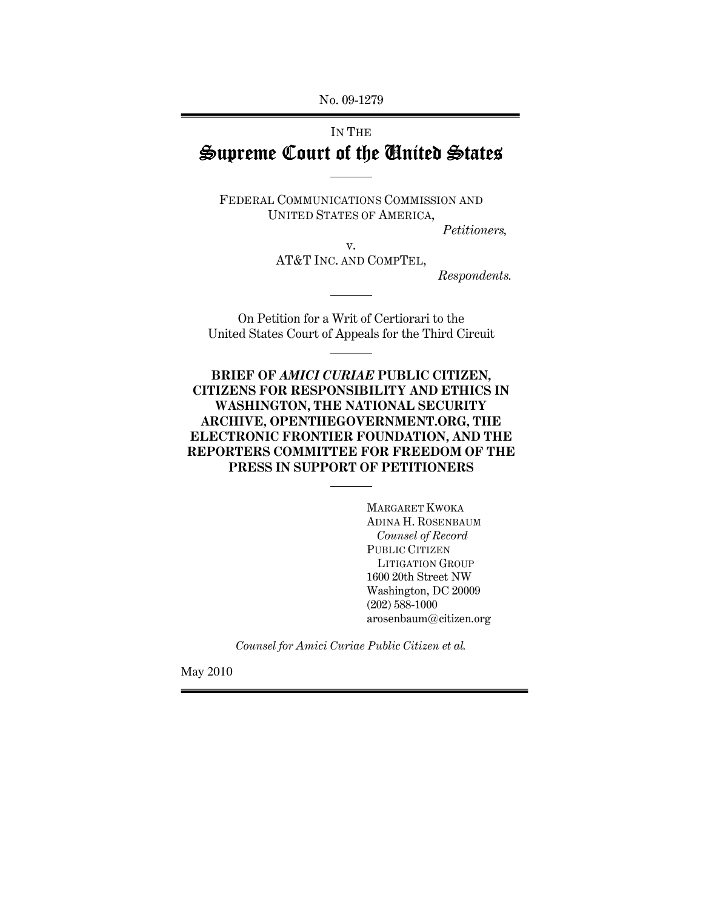No. 09-1279

# IN THE Supreme Court of the United States

FEDERAL COMMUNICATIONS COMMISSION AND UNITED STATES OF AMERICA,

 $\overline{a}$ 

l

 $\overline{a}$ 

 $\overline{a}$ 

Petitioners,

v. AT&T INC. AND COMPTEL,

Respondents.

On Petition for a Writ of Certiorari to the United States Court of Appeals for the Third Circuit

BRIEF OF AMICI CURIAE PUBLIC CITIZEN, CITIZENS FOR RESPONSIBILITY AND ETHICS IN WASHINGTON, THE NATIONAL SECURITY ARCHIVE, OPENTHEGOVERNMENT.ORG, THE ELECTRONIC FRONTIER FOUNDATION, AND THE REPORTERS COMMITTEE FOR FREEDOM OF THE PRESS IN SUPPORT OF PETITIONERS

> MARGARET KWOKA ADINA H. ROSENBAUM Counsel of Record PUBLIC CITIZEN LITIGATION GROUP 1600 20th Street NW Washington, DC 20009 (202) 588-1000 arosenbaum@citizen.org

Counsel for Amici Curiae Public Citizen et al.

May 2010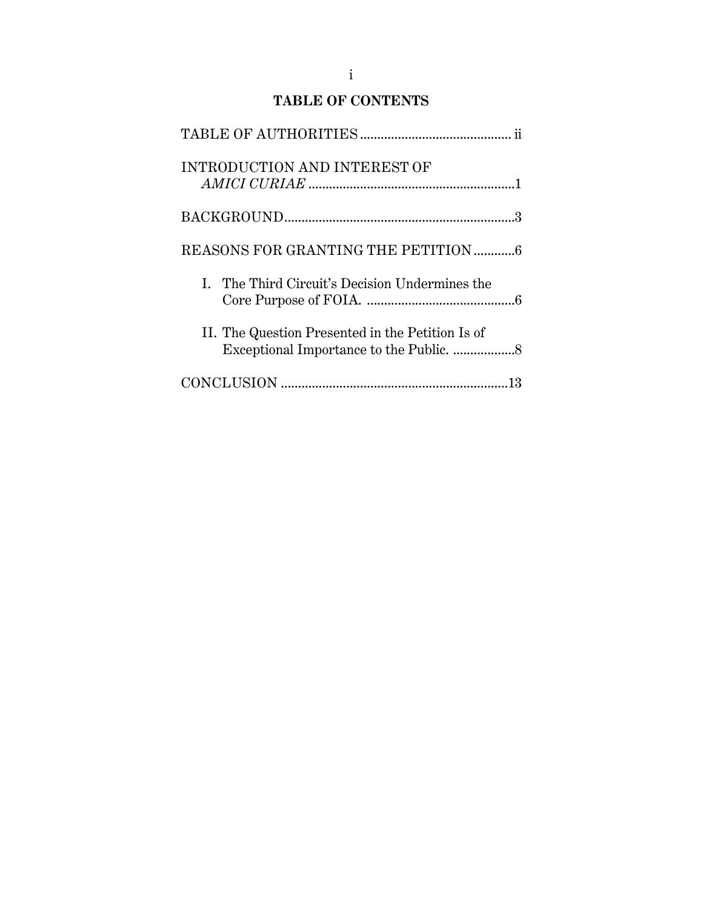| <b>INTRODUCTION AND INTEREST OF</b>              |
|--------------------------------------------------|
|                                                  |
| REASONS FOR GRANTING THE PETITION  6             |
| I. The Third Circuit's Decision Undermines the   |
| II. The Question Presented in the Petition Is of |
|                                                  |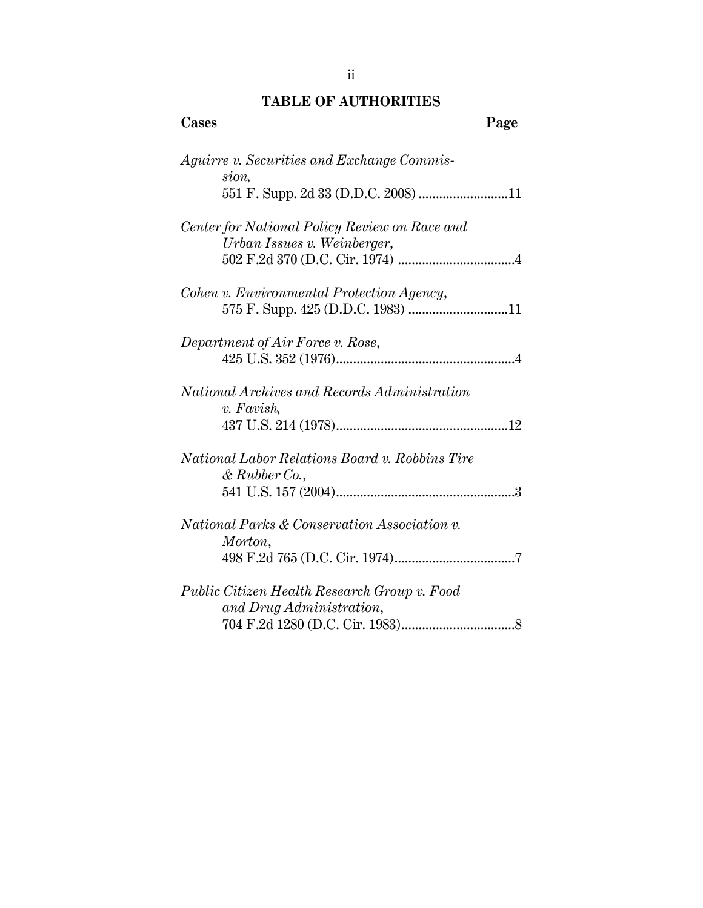## TABLE OF AUTHORITIES

| Cases                                                                    | Page |
|--------------------------------------------------------------------------|------|
| <i>Aguirre v. Securities and Exchange Commis-</i><br>sion,               |      |
| 551 F. Supp. 2d 33 (D.D.C. 2008) 11                                      |      |
| Center for National Policy Review on Race and                            |      |
| Urban Issues v. Weinberger,                                              |      |
| Cohen v. Environmental Protection Agency,                                |      |
|                                                                          |      |
| Department of Air Force v. Rose,                                         |      |
| National Archives and Records Administration                             |      |
| v. Favish,                                                               |      |
|                                                                          |      |
| National Labor Relations Board v. Robbins Tire<br>$\&$ Rubber Co.,       |      |
|                                                                          |      |
| <i>National Parks &amp; Conservation Association v.</i>                  |      |
| Morton,                                                                  |      |
|                                                                          |      |
| Public Citizen Health Research Group v. Food<br>and Drug Administration, |      |
|                                                                          |      |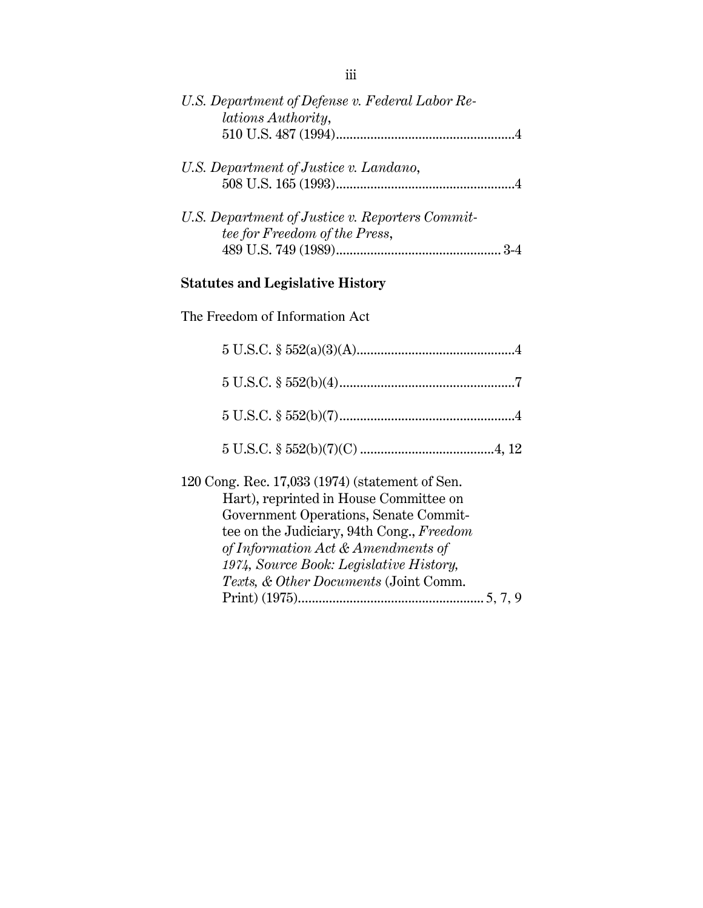| U.S. Department of Defense v. Federal Labor Re-<br>lations Authority,                                                                                                                                                                                            |
|------------------------------------------------------------------------------------------------------------------------------------------------------------------------------------------------------------------------------------------------------------------|
|                                                                                                                                                                                                                                                                  |
| U.S. Department of Justice v. Landano,                                                                                                                                                                                                                           |
| U.S. Department of Justice v. Reporters Commit-<br>tee for Freedom of the Press,                                                                                                                                                                                 |
| <b>Statutes and Legislative History</b>                                                                                                                                                                                                                          |
| The Freedom of Information Act                                                                                                                                                                                                                                   |
|                                                                                                                                                                                                                                                                  |
|                                                                                                                                                                                                                                                                  |
|                                                                                                                                                                                                                                                                  |
|                                                                                                                                                                                                                                                                  |
| 120 Cong. Rec. 17,033 (1974) (statement of Sen.<br>Hart), reprinted in House Committee on<br>Government Operations, Senate Commit-<br>tee on the Judiciary, 94th Cong., Freedom<br>of Information Act & Amendments of<br>1974, Source Book: Legislative History, |

Texts, & Other Documents (Joint Comm.

Print) (1975)...................................................... 5, 7, 9

iii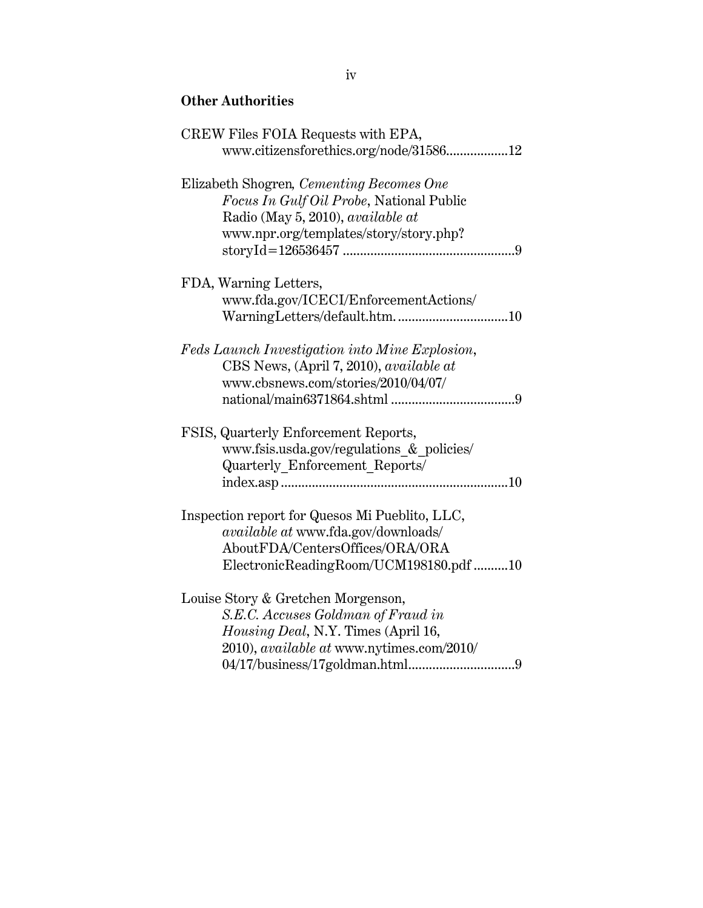## Other Authorities

| CREW Files FOIA Requests with EPA,              |
|-------------------------------------------------|
| www.citizensforethics.org/node/3158612          |
| Elizabeth Shogren, Cementing Becomes One        |
|                                                 |
| <i>Focus In Gulf Oil Probe, National Public</i> |
| Radio (May 5, 2010), available at               |
| www.npr.org/templates/story/story.php?          |
|                                                 |
| FDA, Warning Letters,                           |
| www.fda.gov/ICECI/EnforcementActions/           |
|                                                 |
|                                                 |
| Feds Launch Investigation into Mine Explosion,  |
| CBS News, (April 7, 2010), available at         |
| www.cbsnews.com/stories/2010/04/07/             |
|                                                 |
|                                                 |
| FSIS, Quarterly Enforcement Reports,            |
| www.fsis.usda.gov/regulations & policies/       |
| Quarterly Enforcement Reports/                  |
|                                                 |
|                                                 |
| Inspection report for Quesos Mi Pueblito, LLC,  |
| available at www.fda.gov/downloads/             |
| AboutFDA/CentersOffices/ORA/ORA                 |
| ElectronicReadingRoom/UCM198180.pdf 10          |
|                                                 |
| Louise Story & Gretchen Morgenson,              |
| S.E.C. Accuses Goldman of Fraud in              |
| Housing Deal, N.Y. Times (April 16,             |
| 2010), available at www.nytimes.com/2010/       |
|                                                 |
|                                                 |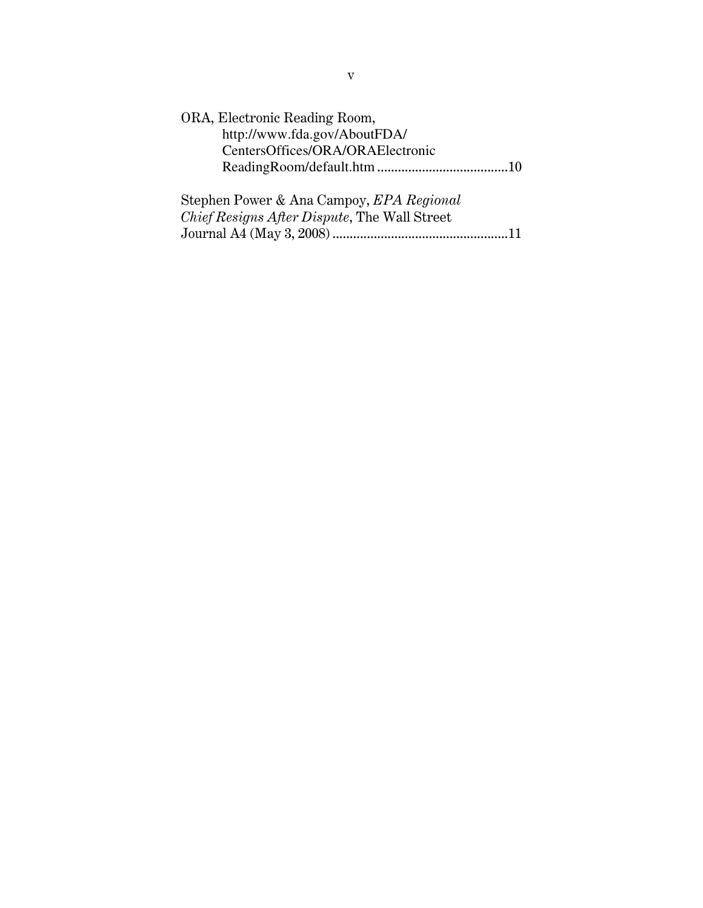| ORA, Electronic Reading Room,                       |
|-----------------------------------------------------|
| http://www.fda.gov/AboutFDA/                        |
| CentersOffices/ORA/ORAElectronic                    |
|                                                     |
|                                                     |
| Stephen Power & Ana Campoy, EPA Regional            |
| <i>Chief Resigns After Dispute, The Wall Street</i> |
|                                                     |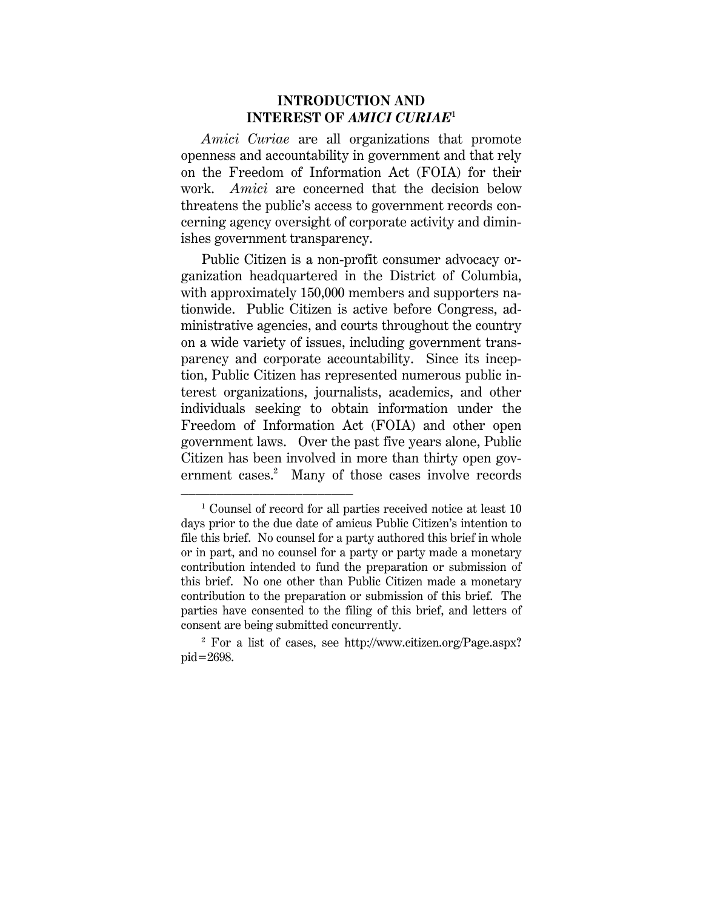## INTRODUCTION AND INTEREST OF AMICI CURIAE<sup>1</sup>

Amici Curiae are all organizations that promote openness and accountability in government and that rely on the Freedom of Information Act (FOIA) for their work. Amici are concerned that the decision below threatens the public's access to government records concerning agency oversight of corporate activity and diminishes government transparency.

Public Citizen is a non-profit consumer advocacy organization headquartered in the District of Columbia, with approximately 150,000 members and supporters nationwide. Public Citizen is active before Congress, administrative agencies, and courts throughout the country on a wide variety of issues, including government transparency and corporate accountability. Since its inception, Public Citizen has represented numerous public interest organizations, journalists, academics, and other individuals seeking to obtain information under the Freedom of Information Act (FOIA) and other open government laws. Over the past five years alone, Public Citizen has been involved in more than thirty open government cases.<sup>2</sup> Many of those cases involve records

<sup>&</sup>lt;sup>1</sup> Counsel of record for all parties received notice at least 10 days prior to the due date of amicus Public Citizen's intention to file this brief. No counsel for a party authored this brief in whole or in part, and no counsel for a party or party made a monetary contribution intended to fund the preparation or submission of this brief. No one other than Public Citizen made a monetary contribution to the preparation or submission of this brief. The parties have consented to the filing of this brief, and letters of consent are being submitted concurrently.

<sup>2</sup> For a list of cases, see http://www.citizen.org/Page.aspx? pid=2698.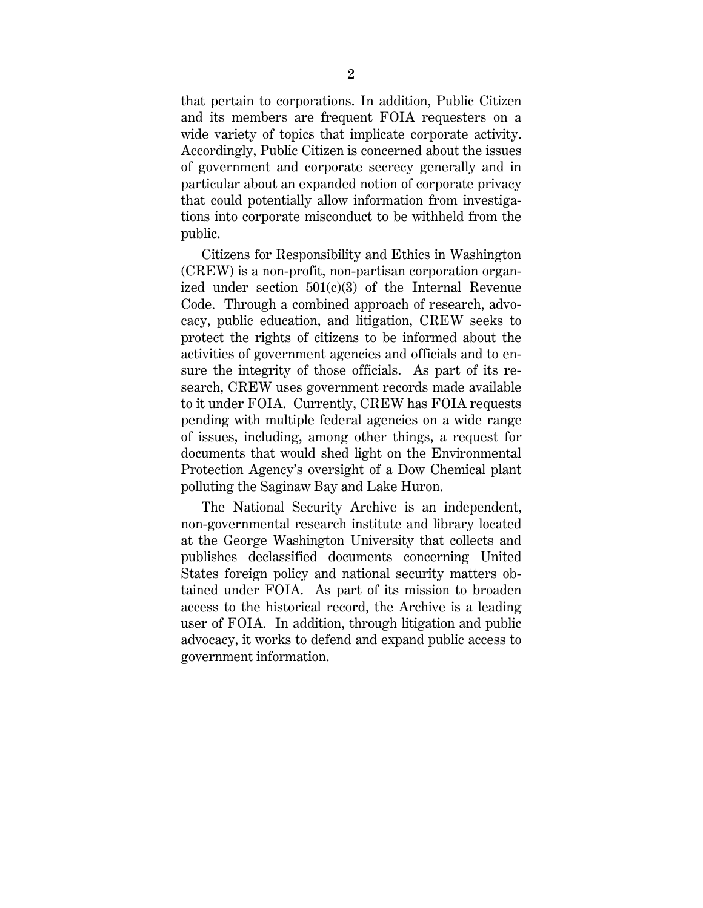that pertain to corporations. In addition, Public Citizen and its members are frequent FOIA requesters on a wide variety of topics that implicate corporate activity. Accordingly, Public Citizen is concerned about the issues of government and corporate secrecy generally and in particular about an expanded notion of corporate privacy that could potentially allow information from investigations into corporate misconduct to be withheld from the public.

Citizens for Responsibility and Ethics in Washington (CREW) is a non-profit, non-partisan corporation organized under section  $501(c)(3)$  of the Internal Revenue Code. Through a combined approach of research, advocacy, public education, and litigation, CREW seeks to protect the rights of citizens to be informed about the activities of government agencies and officials and to ensure the integrity of those officials. As part of its research, CREW uses government records made available to it under FOIA. Currently, CREW has FOIA requests pending with multiple federal agencies on a wide range of issues, including, among other things, a request for documents that would shed light on the Environmental Protection Agency's oversight of a Dow Chemical plant polluting the Saginaw Bay and Lake Huron.

The National Security Archive is an independent, non-governmental research institute and library located at the George Washington University that collects and publishes declassified documents concerning United States foreign policy and national security matters obtained under FOIA. As part of its mission to broaden access to the historical record, the Archive is a leading user of FOIA. In addition, through litigation and public advocacy, it works to defend and expand public access to government information.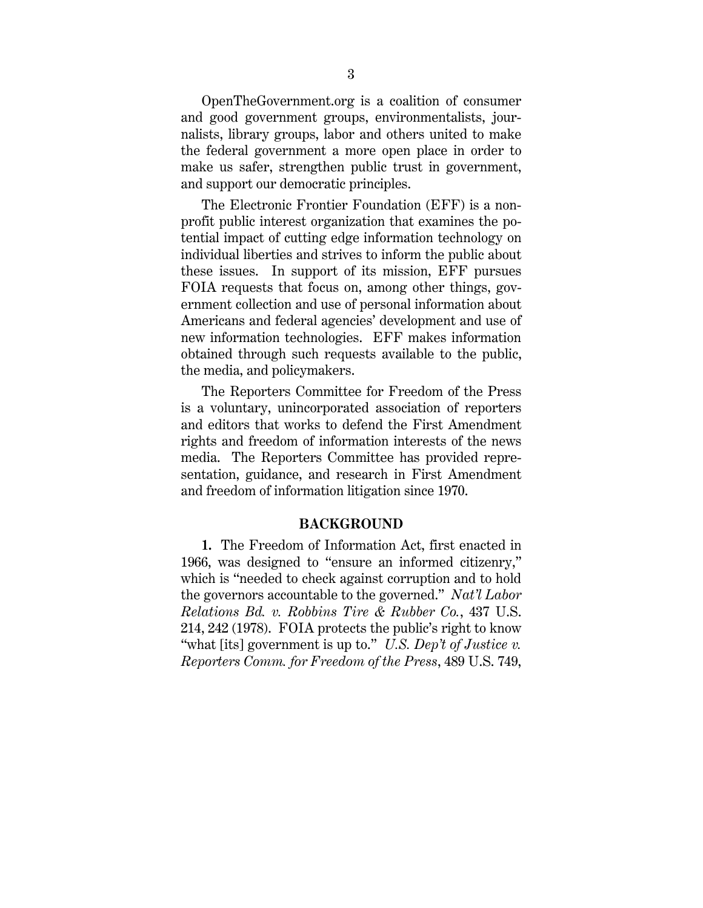OpenTheGovernment.org is a coalition of consumer and good government groups, environmentalists, journalists, library groups, labor and others united to make the federal government a more open place in order to make us safer, strengthen public trust in government, and support our democratic principles.

The Electronic Frontier Foundation (EFF) is a nonprofit public interest organization that examines the potential impact of cutting edge information technology on individual liberties and strives to inform the public about these issues. In support of its mission, EFF pursues FOIA requests that focus on, among other things, government collection and use of personal information about Americans and federal agencies' development and use of new information technologies. EFF makes information obtained through such requests available to the public, the media, and policymakers.

The Reporters Committee for Freedom of the Press is a voluntary, unincorporated association of reporters and editors that works to defend the First Amendment rights and freedom of information interests of the news media. The Reporters Committee has provided representation, guidance, and research in First Amendment and freedom of information litigation since 1970.

#### BACKGROUND

1. The Freedom of Information Act, first enacted in 1966, was designed to "ensure an informed citizenry," which is "needed to check against corruption and to hold the governors accountable to the governed." Nat'l Labor Relations Bd. v. Robbins Tire & Rubber Co., 437 U.S. 214, 242 (1978). FOIA protects the public's right to know "what [its] government is up to." U.S. Dep't of Justice v. Reporters Comm. for Freedom of the Press, 489 U.S. 749,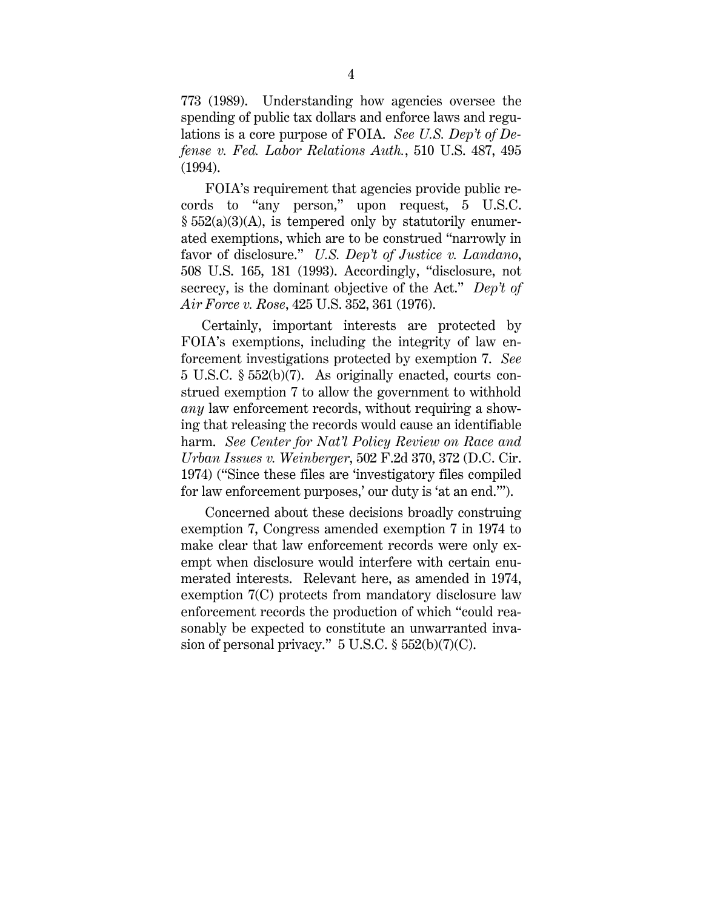773 (1989). Understanding how agencies oversee the spending of public tax dollars and enforce laws and regulations is a core purpose of FOIA. See U.S. Dep't of Defense v. Fed. Labor Relations Auth., 510 U.S. 487, 495 (1994).

 FOIA's requirement that agencies provide public records to "any person," upon request, 5 U.S.C.  $\S 552(a)(3)(A)$ , is tempered only by statutorily enumerated exemptions, which are to be construed "narrowly in favor of disclosure." U.S. Dep't of Justice v. Landano, 508 U.S. 165, 181 (1993). Accordingly, "disclosure, not secrecy, is the dominant objective of the Act." Dep't of Air Force v. Rose, 425 U.S. 352, 361 (1976).

Certainly, important interests are protected by FOIA's exemptions, including the integrity of law enforcement investigations protected by exemption 7. See 5 U.S.C. § 552(b)(7). As originally enacted, courts construed exemption 7 to allow the government to withhold any law enforcement records, without requiring a showing that releasing the records would cause an identifiable harm. See Center for Nat'l Policy Review on Race and Urban Issues v. Weinberger, 502 F.2d 370, 372 (D.C. Cir. 1974) ("Since these files are 'investigatory files compiled for law enforcement purposes,' our duty is 'at an end.'").

 Concerned about these decisions broadly construing exemption 7, Congress amended exemption 7 in 1974 to make clear that law enforcement records were only exempt when disclosure would interfere with certain enumerated interests. Relevant here, as amended in 1974, exemption 7(C) protects from mandatory disclosure law enforcement records the production of which "could reasonably be expected to constitute an unwarranted invasion of personal privacy." 5 U.S.C. § 552(b)(7)(C).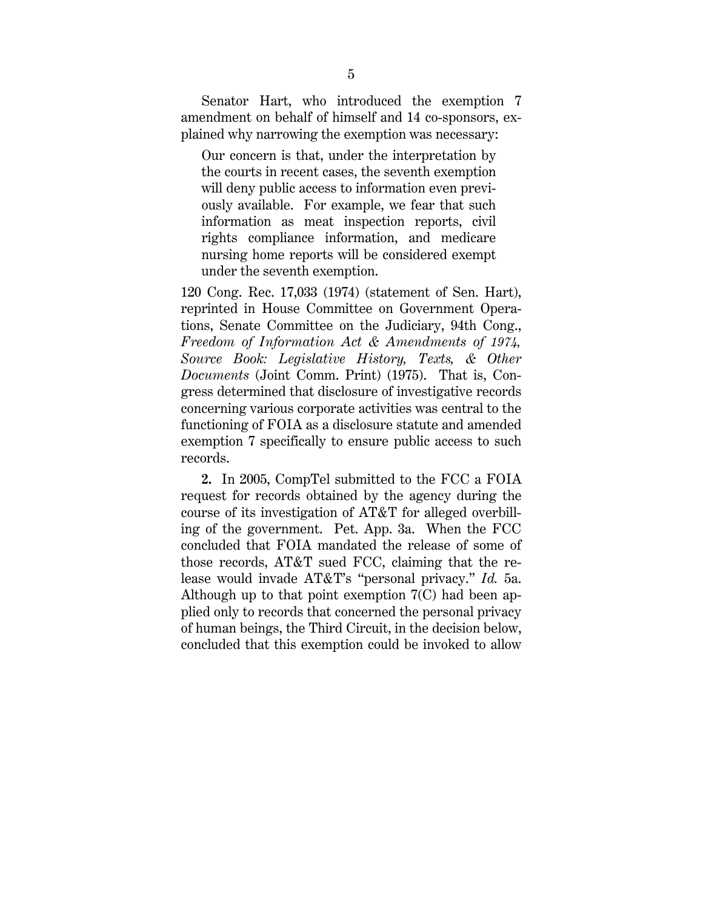Senator Hart, who introduced the exemption 7 amendment on behalf of himself and 14 co-sponsors, explained why narrowing the exemption was necessary:

Our concern is that, under the interpretation by the courts in recent cases, the seventh exemption will deny public access to information even previously available. For example, we fear that such information as meat inspection reports, civil rights compliance information, and medicare nursing home reports will be considered exempt under the seventh exemption.

120 Cong. Rec. 17,033 (1974) (statement of Sen. Hart), reprinted in House Committee on Government Operations, Senate Committee on the Judiciary, 94th Cong., Freedom of Information Act & Amendments of 1974, Source Book: Legislative History, Texts, & Other Documents (Joint Comm. Print) (1975). That is, Congress determined that disclosure of investigative records concerning various corporate activities was central to the functioning of FOIA as a disclosure statute and amended exemption 7 specifically to ensure public access to such records.

2. In 2005, CompTel submitted to the FCC a FOIA request for records obtained by the agency during the course of its investigation of AT&T for alleged overbilling of the government. Pet. App. 3a. When the FCC concluded that FOIA mandated the release of some of those records, AT&T sued FCC, claiming that the release would invade AT&T's "personal privacy." Id. 5a. Although up to that point exemption 7(C) had been applied only to records that concerned the personal privacy of human beings, the Third Circuit, in the decision below, concluded that this exemption could be invoked to allow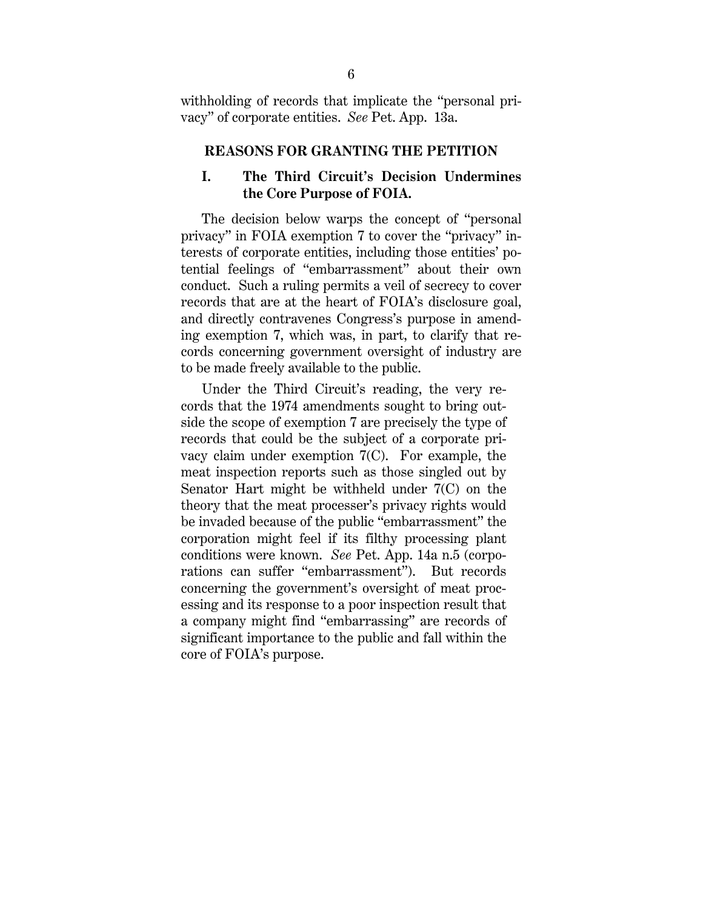withholding of records that implicate the "personal privacy" of corporate entities. See Pet. App. 13a.

#### REASONS FOR GRANTING THE PETITION

## I. The Third Circuit's Decision Undermines the Core Purpose of FOIA.

The decision below warps the concept of "personal privacy" in FOIA exemption 7 to cover the "privacy" interests of corporate entities, including those entities' potential feelings of "embarrassment" about their own conduct. Such a ruling permits a veil of secrecy to cover records that are at the heart of FOIA's disclosure goal, and directly contravenes Congress's purpose in amending exemption 7, which was, in part, to clarify that records concerning government oversight of industry are to be made freely available to the public.

Under the Third Circuit's reading, the very records that the 1974 amendments sought to bring outside the scope of exemption 7 are precisely the type of records that could be the subject of a corporate privacy claim under exemption 7(C). For example, the meat inspection reports such as those singled out by Senator Hart might be withheld under 7(C) on the theory that the meat processer's privacy rights would be invaded because of the public "embarrassment" the corporation might feel if its filthy processing plant conditions were known. See Pet. App. 14a n.5 (corporations can suffer "embarrassment"). But records concerning the government's oversight of meat processing and its response to a poor inspection result that a company might find "embarrassing" are records of significant importance to the public and fall within the core of FOIA's purpose.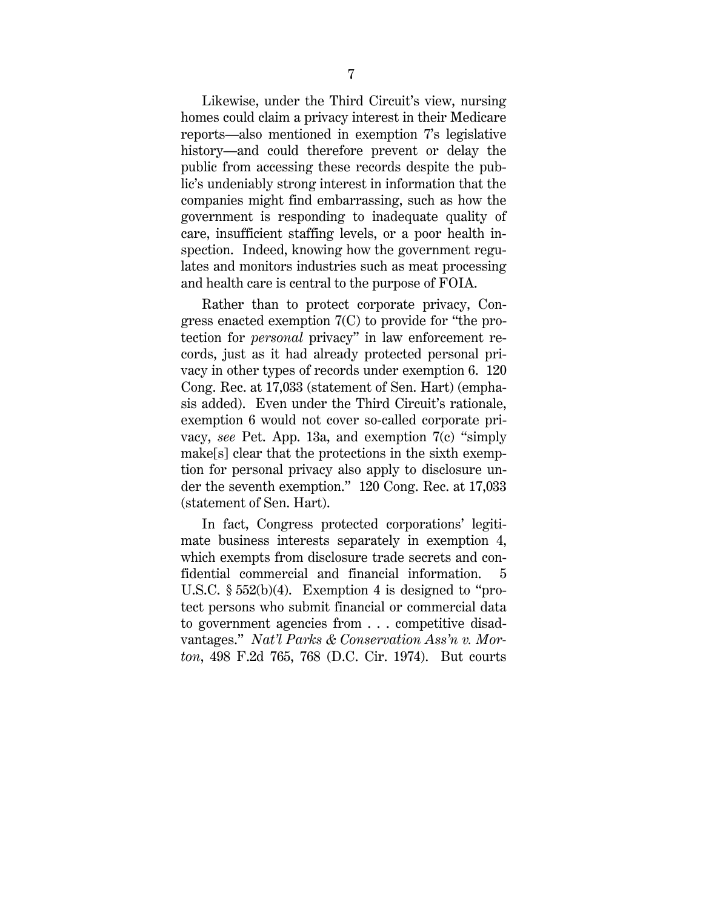Likewise, under the Third Circuit's view, nursing homes could claim a privacy interest in their Medicare reports—also mentioned in exemption 7's legislative history—and could therefore prevent or delay the public from accessing these records despite the public's undeniably strong interest in information that the companies might find embarrassing, such as how the government is responding to inadequate quality of care, insufficient staffing levels, or a poor health inspection. Indeed, knowing how the government regulates and monitors industries such as meat processing and health care is central to the purpose of FOIA.

 Rather than to protect corporate privacy, Congress enacted exemption 7(C) to provide for "the protection for personal privacy" in law enforcement records, just as it had already protected personal privacy in other types of records under exemption 6. 120 Cong. Rec. at 17,033 (statement of Sen. Hart) (emphasis added). Even under the Third Circuit's rationale, exemption 6 would not cover so-called corporate privacy, see Pet. App. 13a, and exemption 7(c) "simply make[s] clear that the protections in the sixth exemption for personal privacy also apply to disclosure under the seventh exemption." 120 Cong. Rec. at 17,033 (statement of Sen. Hart).

 In fact, Congress protected corporations' legitimate business interests separately in exemption 4, which exempts from disclosure trade secrets and confidential commercial and financial information. 5 U.S.C. § 552(b)(4). Exemption 4 is designed to "protect persons who submit financial or commercial data to government agencies from . . . competitive disadvantages." Nat'l Parks & Conservation Ass'n v. Morton, 498 F.2d 765, 768 (D.C. Cir. 1974). But courts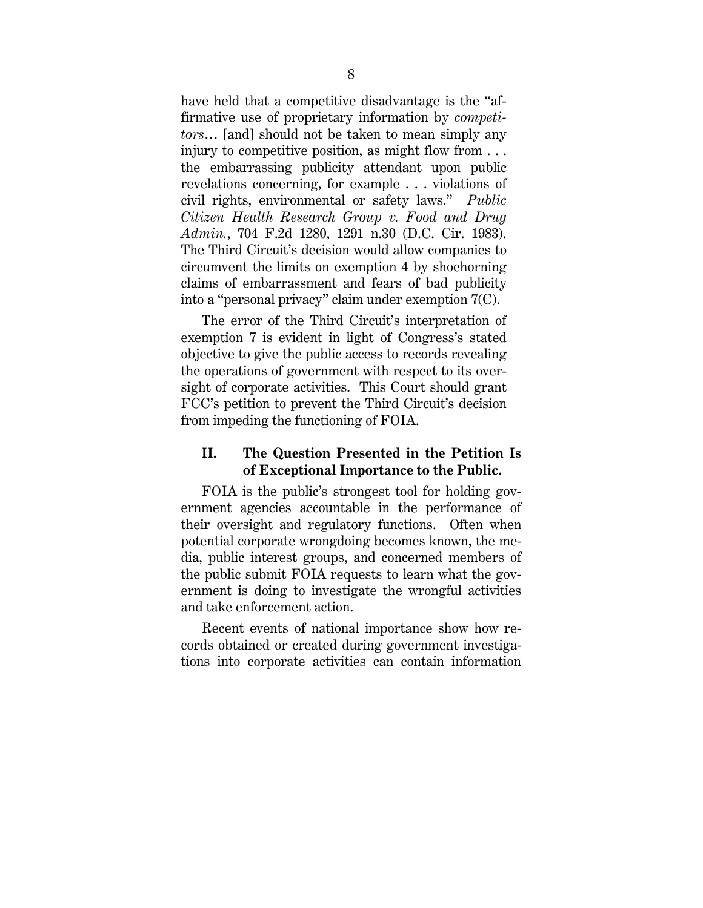have held that a competitive disadvantage is the "affirmative use of proprietary information by competitors… [and] should not be taken to mean simply any injury to competitive position, as might flow from  $\dots$ the embarrassing publicity attendant upon public revelations concerning, for example . . . violations of civil rights, environmental or safety laws." Public Citizen Health Research Group v. Food and Drug Admin., 704 F.2d 1280, 1291 n.30 (D.C. Cir. 1983). The Third Circuit's decision would allow companies to circumvent the limits on exemption 4 by shoehorning claims of embarrassment and fears of bad publicity into a "personal privacy" claim under exemption 7(C).

The error of the Third Circuit's interpretation of exemption 7 is evident in light of Congress's stated objective to give the public access to records revealing the operations of government with respect to its oversight of corporate activities. This Court should grant FCC's petition to prevent the Third Circuit's decision from impeding the functioning of FOIA.

### II. The Question Presented in the Petition Is of Exceptional Importance to the Public.

FOIA is the public's strongest tool for holding government agencies accountable in the performance of their oversight and regulatory functions. Often when potential corporate wrongdoing becomes known, the media, public interest groups, and concerned members of the public submit FOIA requests to learn what the government is doing to investigate the wrongful activities and take enforcement action.

Recent events of national importance show how records obtained or created during government investigations into corporate activities can contain information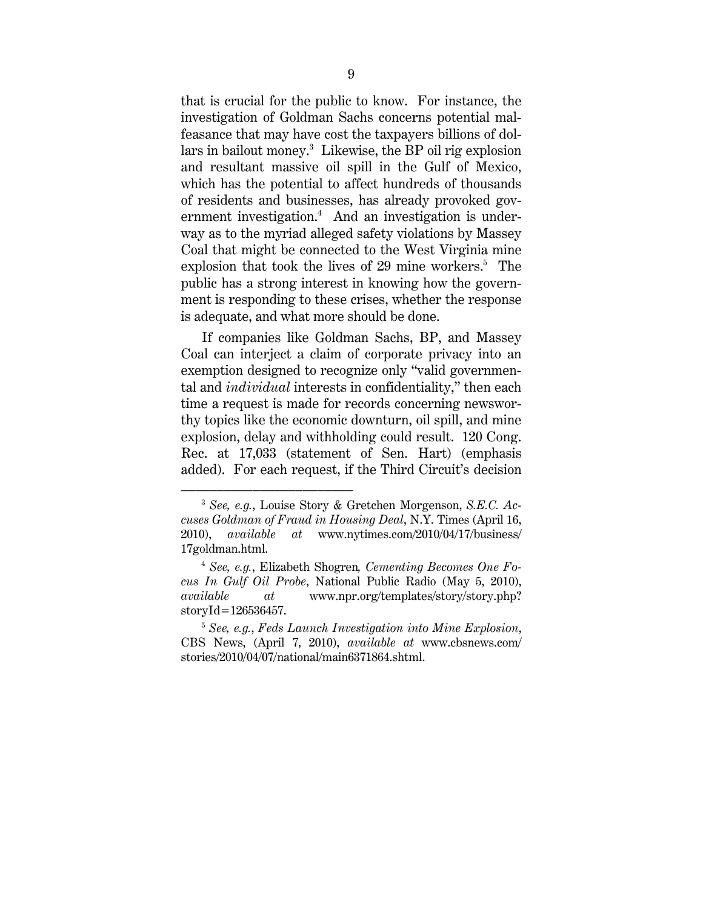that is crucial for the public to know. For instance, the investigation of Goldman Sachs concerns potential malfeasance that may have cost the taxpayers billions of dollars in bailout money.<sup>3</sup> Likewise, the BP oil rig explosion and resultant massive oil spill in the Gulf of Mexico, which has the potential to affect hundreds of thousands of residents and businesses, has already provoked government investigation.<sup>4</sup> And an investigation is underway as to the myriad alleged safety violations by Massey Coal that might be connected to the West Virginia mine explosion that took the lives of 29 mine workers.<sup>5</sup> The public has a strong interest in knowing how the government is responding to these crises, whether the response is adequate, and what more should be done.

If companies like Goldman Sachs, BP, and Massey Coal can interject a claim of corporate privacy into an exemption designed to recognize only "valid governmental and individual interests in confidentiality," then each time a request is made for records concerning newsworthy topics like the economic downturn, oil spill, and mine explosion, delay and withholding could result. 120 Cong. Rec. at 17,033 (statement of Sen. Hart) (emphasis added). For each request, if the Third Circuit's decision

 $3$  See, e.g., Louise Story & Gretchen Morgenson, S.E.C. Accuses Goldman of Fraud in Housing Deal, N.Y. Times (April 16, 2010), available at www.nytimes.com/2010/04/17/business/ 17goldman.html.

 $4$  See, e.g., Elizabeth Shogren, Cementing Becomes One Focus In Gulf Oil Probe, National Public Radio (May 5, 2010), available at www.npr.org/templates/story/story.php? storyId=126536457.

<sup>5</sup> See, e.g., Feds Launch Investigation into Mine Explosion, CBS News, (April 7, 2010), available at www.cbsnews.com/ stories/2010/04/07/national/main6371864.shtml.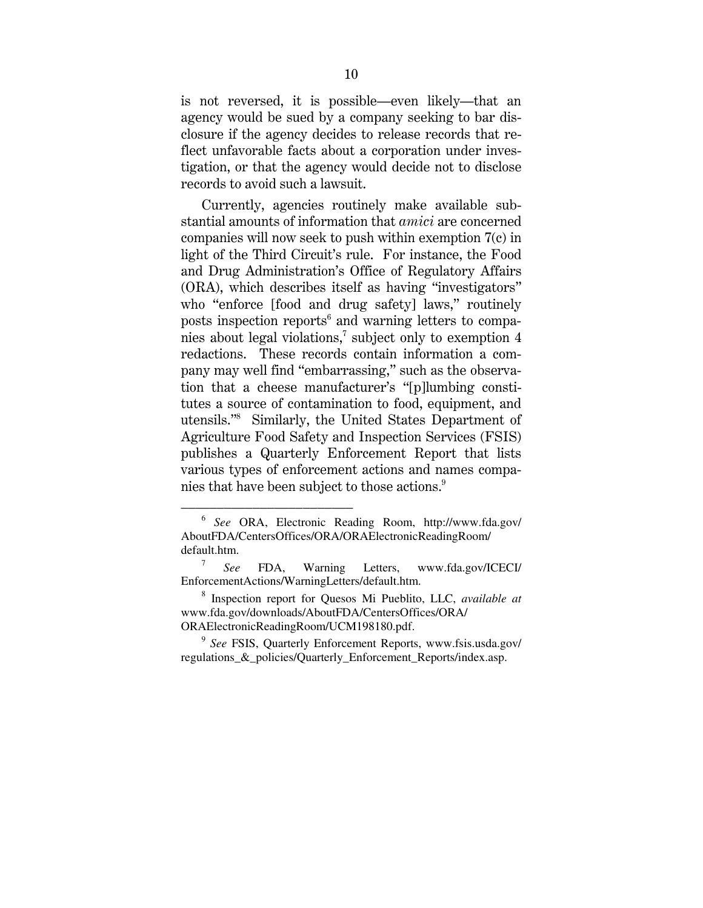is not reversed, it is possible—even likely—that an agency would be sued by a company seeking to bar disclosure if the agency decides to release records that reflect unfavorable facts about a corporation under investigation, or that the agency would decide not to disclose records to avoid such a lawsuit.

Currently, agencies routinely make available substantial amounts of information that amici are concerned companies will now seek to push within exemption 7(c) in light of the Third Circuit's rule. For instance, the Food and Drug Administration's Office of Regulatory Affairs (ORA), which describes itself as having "investigators" who "enforce [food and drug safety] laws," routinely posts inspection reports<sup>6</sup> and warning letters to companies about legal violations,<sup>7</sup> subject only to exemption 4 redactions. These records contain information a company may well find "embarrassing," such as the observation that a cheese manufacturer's "[p]lumbing constitutes a source of contamination to food, equipment, and utensils."<sup>8</sup> Similarly, the United States Department of Agriculture Food Safety and Inspection Services (FSIS) publishes a Quarterly Enforcement Report that lists various types of enforcement actions and names companies that have been subject to those actions.<sup>9</sup>

<sup>6</sup> *See* ORA, Electronic Reading Room, http://www.fda.gov/ AboutFDA/CentersOffices/ORA/ORAElectronicReadingRoom/ default.htm.

<sup>7</sup> *See* FDA, Warning Letters, www.fda.gov/ICECI/ EnforcementActions/WarningLetters/default.htm.

<sup>8</sup> Inspection report for Quesos Mi Pueblito, LLC, *available at* www.fda.gov/downloads/AboutFDA/CentersOffices/ORA/ ORAElectronicReadingRoom/UCM198180.pdf.

<sup>9</sup> *See* FSIS, Quarterly Enforcement Reports, www.fsis.usda.gov/ regulations\_&\_policies/Quarterly\_Enforcement\_Reports/index.asp.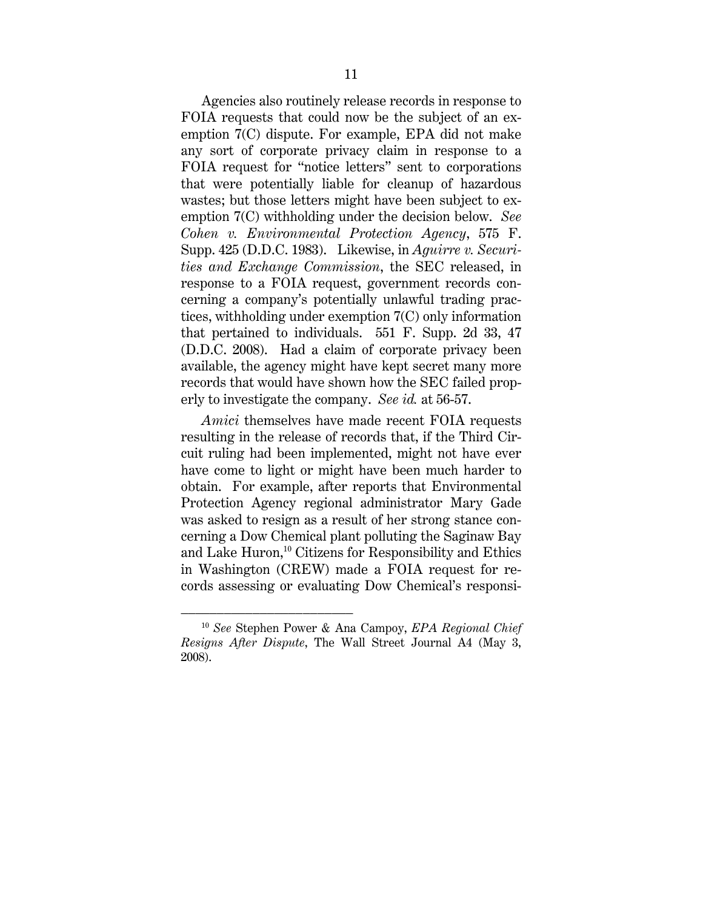Agencies also routinely release records in response to FOIA requests that could now be the subject of an exemption 7(C) dispute. For example, EPA did not make any sort of corporate privacy claim in response to a FOIA request for "notice letters" sent to corporations that were potentially liable for cleanup of hazardous wastes; but those letters might have been subject to exemption 7(C) withholding under the decision below. See Cohen v. Environmental Protection Agency, 575 F. Supp. 425 (D.D.C. 1983). Likewise, in Aguirre v. Securities and Exchange Commission, the SEC released, in response to a FOIA request, government records concerning a company's potentially unlawful trading practices, withholding under exemption 7(C) only information that pertained to individuals. 551 F. Supp. 2d 33, 47 (D.D.C. 2008). Had a claim of corporate privacy been available, the agency might have kept secret many more records that would have shown how the SEC failed properly to investigate the company. See id. at 56-57.

Amici themselves have made recent FOIA requests resulting in the release of records that, if the Third Circuit ruling had been implemented, might not have ever have come to light or might have been much harder to obtain. For example, after reports that Environmental Protection Agency regional administrator Mary Gade was asked to resign as a result of her strong stance concerning a Dow Chemical plant polluting the Saginaw Bay and Lake Huron, $10$  Citizens for Responsibility and Ethics in Washington (CREW) made a FOIA request for records assessing or evaluating Dow Chemical's responsi-

 $10$  See Stephen Power & Ana Campoy, EPA Regional Chief Resigns After Dispute, The Wall Street Journal A4 (May 3, 2008).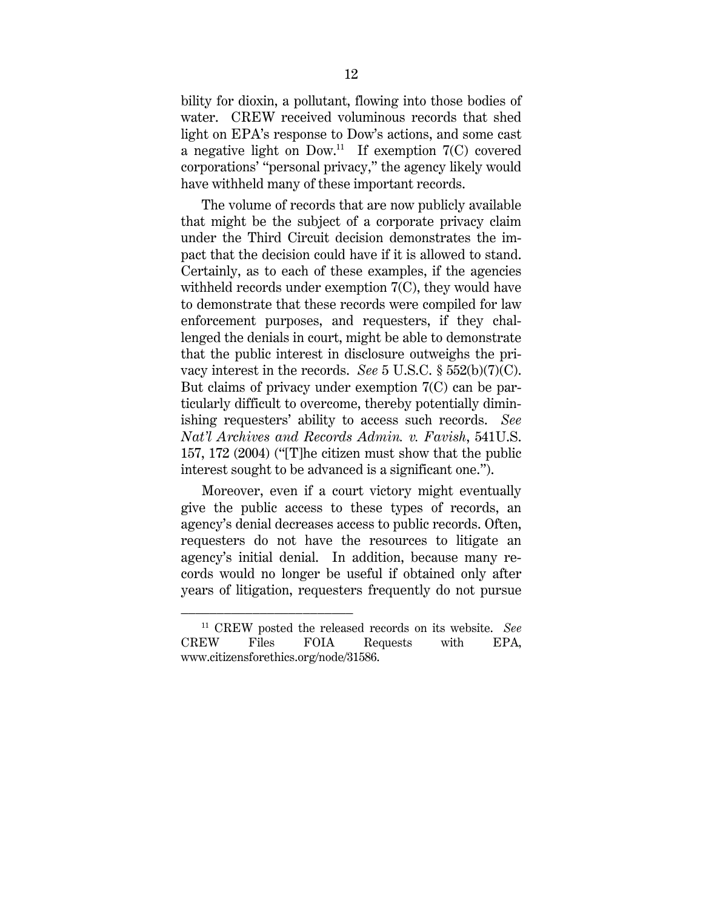bility for dioxin, a pollutant, flowing into those bodies of water. CREW received voluminous records that shed light on EPA's response to Dow's actions, and some cast a negative light on  $Down^{11}$  If exemption  $7(C)$  covered corporations' "personal privacy," the agency likely would have withheld many of these important records.

The volume of records that are now publicly available that might be the subject of a corporate privacy claim under the Third Circuit decision demonstrates the impact that the decision could have if it is allowed to stand. Certainly, as to each of these examples, if the agencies withheld records under exemption 7(C), they would have to demonstrate that these records were compiled for law enforcement purposes, and requesters, if they challenged the denials in court, might be able to demonstrate that the public interest in disclosure outweighs the privacy interest in the records. See 5 U.S.C.  $\S 552(b)(7)(C)$ . But claims of privacy under exemption 7(C) can be particularly difficult to overcome, thereby potentially diminishing requesters' ability to access such records. See Nat'l Archives and Records Admin. v. Favish, 541U.S. 157, 172 (2004) ("[T]he citizen must show that the public interest sought to be advanced is a significant one.").

Moreover, even if a court victory might eventually give the public access to these types of records, an agency's denial decreases access to public records. Often, requesters do not have the resources to litigate an agency's initial denial. In addition, because many records would no longer be useful if obtained only after years of litigation, requesters frequently do not pursue

<sup>&</sup>lt;sup>11</sup> CREW posted the released records on its website. See CREW Files FOIA Requests with EPA, www.citizensforethics.org/node/31586.